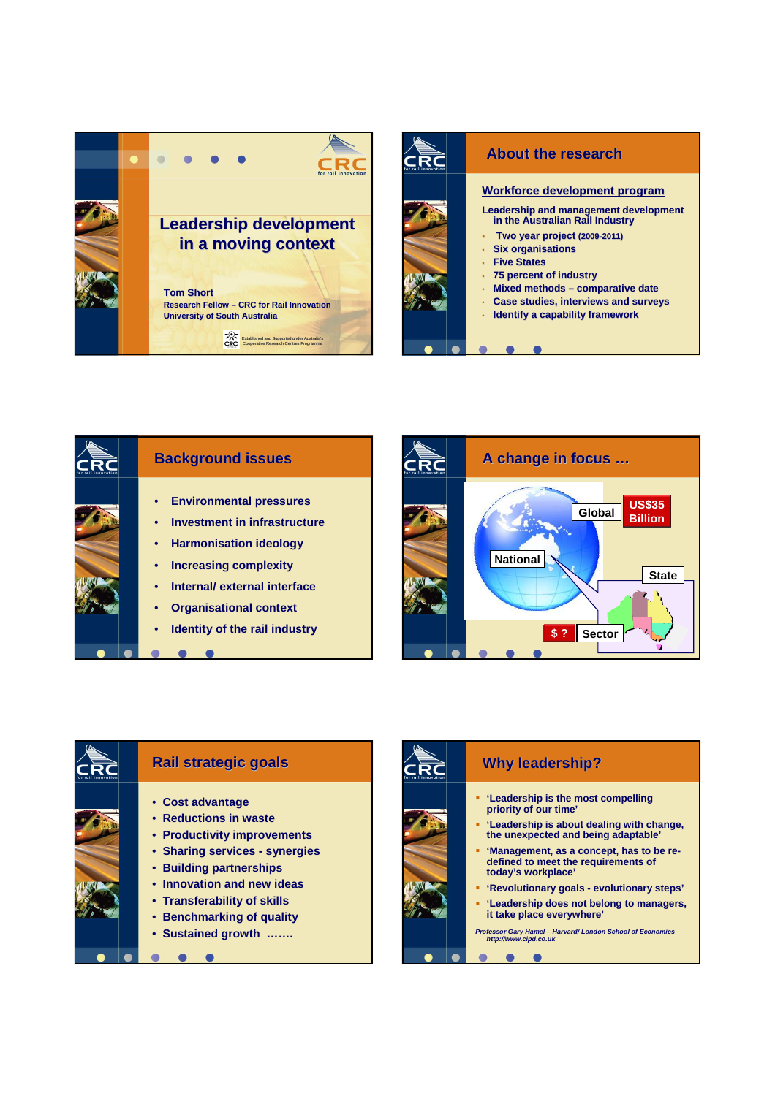



## **Background issues** • **Environmental pressures** • **Investment in infrastructure** • **Harmonisation ideology** • **Increasing complexity** • **Internal/ external interface** • **Organisational context** • **Identity of the rail industry**   $\bullet$  $\bullet$  $\bullet$





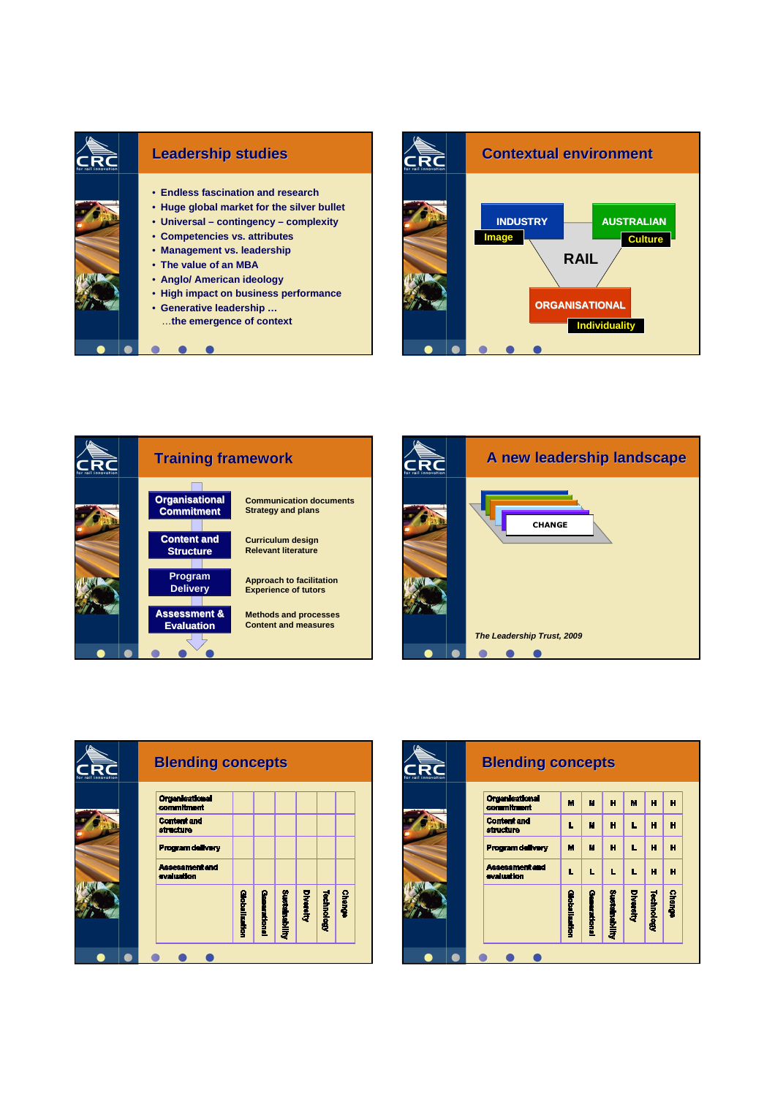









| for rail innovation | <b>Blending concepts</b>            |               |              |                |           |            |               |  |
|---------------------|-------------------------------------|---------------|--------------|----------------|-----------|------------|---------------|--|
|                     | <b>Organisational</b><br>commitment | M             | М            | н              | M         | н          | Ĥ             |  |
|                     | <b>Content and</b><br>structure     |               | M            | н              | Е         | н          | н             |  |
|                     | <b>Program delivery</b>             | М             | M            | н              | L         | н          | н             |  |
|                     | <b>Assessment and</b><br>evaluation |               | L            | L              | L         | н          | н             |  |
|                     |                                     | Globalisation | Generational | Sustainability | Diversity | Technology | <b>Change</b> |  |
|                     |                                     |               |              |                |           |            |               |  |